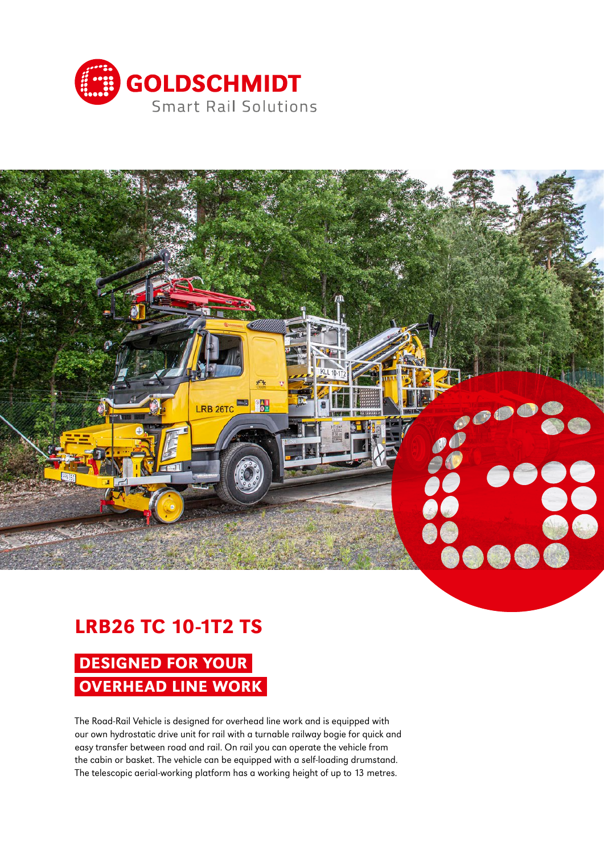



## LRB26 TC 10-1T2 TS

# DESIGNED FOR YOUR OVERHEAD LINE WORK

The Road-Rail Vehicle is designed for overhead line work and is equipped with our own hydrostatic drive unit for rail with a turnable railway bogie for quick and easy transfer between road and rail. On rail you can operate the vehicle from the cabin or basket. The vehicle can be equipped with a self-loading drumstand. The telescopic aerial-working platform has a working height of up to 13 metres.